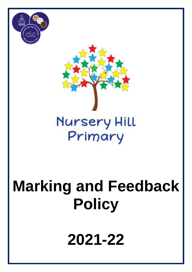



# **Nursery Hill** Primary

# **Marking and Feedback Policy**

**2021-22**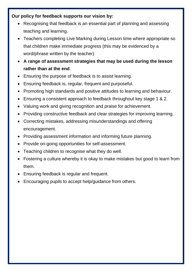#### **Our policy for feedback supports our vision by:**

- Recognising that feedback is an essential part of planning and assessing teaching and learning.
- Teachers completing Live Marking during Lesson time where appropriate so that children make immediate progress (this may be evidenced by a word/phrase written by the teacher)
- **A range of assessment strategies that may be used during the lesson rather than at the end**.
- Ensuring the purpose of feedback is to assist learning.
- Ensuring feedback is, regular, frequent and purposeful.
- Promoting high standards and positive attitudes to learning and behaviour.
- Ensuring a consistent approach to feedback throughout key stage 1 & 2.
- Valuing work and giving recognition and praise for achievement.
- Providing constructive feedback and clear strategies for improving learning.
- Correcting mistakes, addressing misunderstandings and offering encouragement.
- Providing assessment information and informing future planning.
- Provide on-going opportunities for self-assessment.
- Teaching children to recognise what they do well.
- Fostering a culture whereby it is okay to make mistakes but good to learn from them.
- Ensuring feedback is regular and frequent.
- Encouraging pupils to accept help/guidance from others.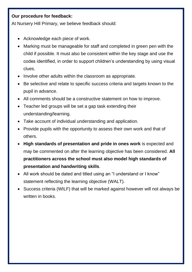#### **Our procedure for feedback:**

At Nursery Hill Primary, we believe feedback should:

- Acknowledge each piece of work.
- Marking must be manageable for staff and completed in green pen with the child if possible. It must also be consistent within the key stage and use the codes identified, in order to support children's understanding by using visual clues.
- Involve other adults within the classroom as appropriate.
- Be selective and relate to specific success criteria and targets known to the pupil in advance.
- All comments should be a constructive statement on how to improve.
- Teacher led groups will be set a gap task extending their understanding/learning.
- Take account of individual understanding and application.
- Provide pupils with the opportunity to assess their own work and that of others.
- **High standards of presentation and pride in ones work** is expected and may be commented on after the learning objective has been considered. **All practitioners across the school must also model high standards of presentation and handwriting skills**.
- All work should be dated and titled using an "I understand or I know" statement reflecting the learning objective (WALT).
- Success criteria (WILF) that will be marked against however will not always be written in books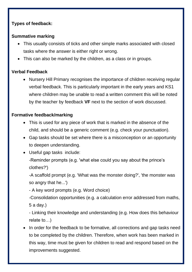### **Types of feedback:**

#### **Summative marking**

- This usually consists of ticks and other simple marks associated with closed tasks where the answer is either right or wrong.
- This can also be marked by the children, as a class or in groups.

### **Verbal Feedback**

• Nursery Hill Primary recognises the importance of children receiving regular verbal feedback. This is particularly important in the early years and KS1 where children may be unable to read a written comment this will be noted by the teacher by feedback **VF** next to the section of work discussed.

#### **Formative feedback/marking**

- This is used for any piece of work that is marked in the absence of the child, and should be a generic comment (e.g. check your punctuation).
- Gap tasks should be set where there is a misconception or an opportunity to deepen understanding.
- Useful gap tasks include:
	- -Reminder prompts (e.g. 'what else could you say about the prince's clothes?')

-A scaffold prompt (e.g. 'What was the monster doing?', 'the monster was so angry that he...')

- A key word prompts (e.g. Word choice)

-Consolidation opportunities (e.g. a calculation error addressed from maths, 5 a day.)

- Linking their knowledge and understanding (e.g. How does this behaviour relate to…)

• In order for the feedback to be formative, all corrections and gap tasks need to be completed by the children. Therefore, when work has been marked in this way, time must be given for children to read and respond based on the improvements suggested.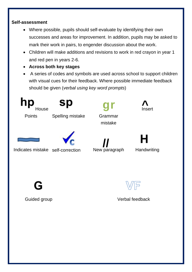#### **Self-assessment**

- Where possible, pupils should self-evaluate by identifying their own successes and areas for improvement. In addition, pupils may be asked to mark their work in pairs, to engender discussion about the work.
- Children will make additions and revisions to work in red crayon in year 1 and red pen in years 2-6.
- **Across both key stages**
- A series of codes and symbols are used across school to support children with visual cues for their feedback. Where possible immediate feedback should be given (*verbal using key word prompts*)



Guided group **Verbal feedback**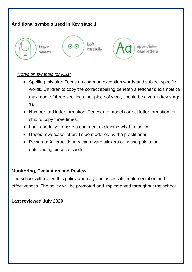## **Additional symbols used in Key stage 1**



#### *Notes on symbols for KS1:*

- Spelling mistake: Focus on common exception words and subject specific words. Children to copy the correct spelling beneath a teacher's example (a maximum of three spellings, per piece of work, should be given in key stage 1).
- Number and letter formation: Teacher to model correct letter formation for chid to copy three times.
- Look carefully: to have a comment explaining what to look at.
- Upper/Lowercase letter: To be modelled by the practitioner.
- Rewards: All practitioners can award stickers or house points for outstanding pieces of work

#### **Monitoring, Evaluation and Review**

The school will review this policy annually and assess its implementation and effectiveness. The policy will be promoted and implemented throughout the school.

#### **Last reviewed July 2020**